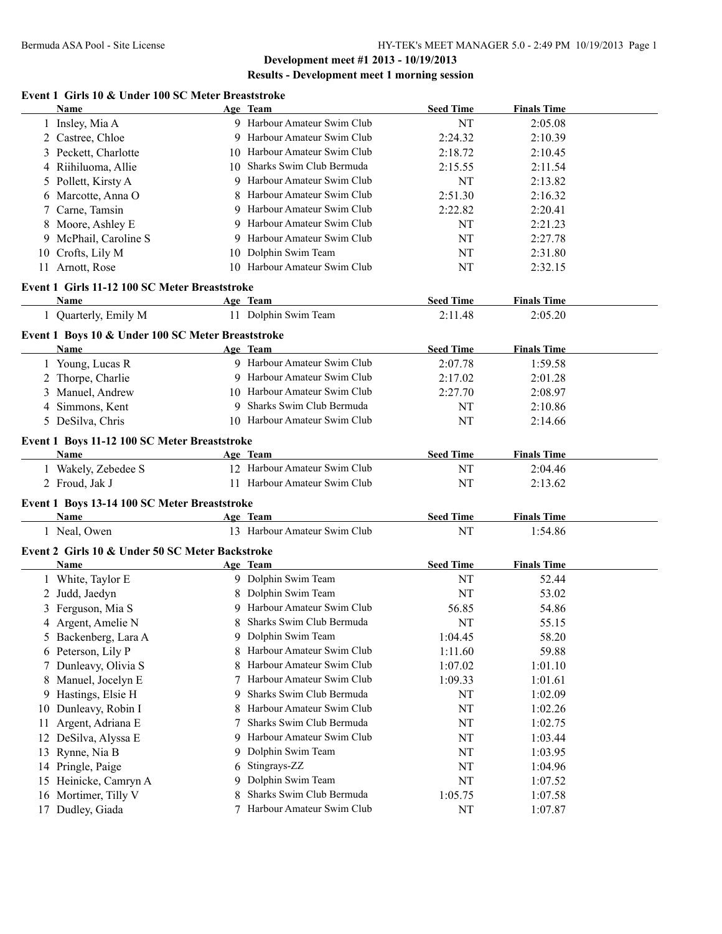# **Results - Development meet 1 morning session**

#### **Event 1 Girls 10 & Under 100 SC Meter Breaststroke**

|    | <b>Name</b>                                       |    | Age Team                     | <b>Seed Time</b> | <b>Finals Time</b> |  |
|----|---------------------------------------------------|----|------------------------------|------------------|--------------------|--|
|    | 1 Insley, Mia A                                   |    | 9 Harbour Amateur Swim Club  | NT               | 2:05.08            |  |
|    | 2 Castree, Chloe                                  |    | 9 Harbour Amateur Swim Club  | 2:24.32          | 2:10.39            |  |
|    | 3 Peckett, Charlotte                              |    | 10 Harbour Amateur Swim Club | 2:18.72          | 2:10.45            |  |
|    | 4 Riihiluoma, Allie                               | 10 | Sharks Swim Club Bermuda     | 2:15.55          | 2:11.54            |  |
|    | 5 Pollett, Kirsty A                               | 9  | Harbour Amateur Swim Club    | <b>NT</b>        | 2:13.82            |  |
| 6  | Marcotte, Anna O                                  |    | Harbour Amateur Swim Club    | 2:51.30          | 2:16.32            |  |
| 7  | Carne, Tamsin                                     |    | Harbour Amateur Swim Club    | 2:22.82          | 2:20.41            |  |
| 8  | Moore, Ashley E                                   |    | 9 Harbour Amateur Swim Club  | NT               | 2:21.23            |  |
|    | 9 McPhail, Caroline S                             | 9  | Harbour Amateur Swim Club    | NT               | 2:27.78            |  |
|    | 10 Crofts, Lily M                                 | 10 | Dolphin Swim Team            | NT               | 2:31.80            |  |
|    | 11 Arnott, Rose                                   |    | 10 Harbour Amateur Swim Club | NT               | 2:32.15            |  |
|    |                                                   |    |                              |                  |                    |  |
|    | Event 1 Girls 11-12 100 SC Meter Breaststroke     |    |                              |                  |                    |  |
|    | Name                                              |    | Age Team                     | <b>Seed Time</b> | <b>Finals Time</b> |  |
|    | 1 Quarterly, Emily M                              |    | 11 Dolphin Swim Team         | 2:11.48          | 2:05.20            |  |
|    | Event 1 Boys 10 & Under 100 SC Meter Breaststroke |    |                              |                  |                    |  |
|    | <b>Name</b>                                       |    | Age Team                     | <b>Seed Time</b> | <b>Finals Time</b> |  |
|    | 1 Young, Lucas R                                  |    | 9 Harbour Amateur Swim Club  | 2:07.78          | 1:59.58            |  |
|    | 2 Thorpe, Charlie                                 |    | 9 Harbour Amateur Swim Club  | 2:17.02          | 2:01.28            |  |
|    | 3 Manuel, Andrew                                  |    | 10 Harbour Amateur Swim Club | 2:27.70          | 2:08.97            |  |
|    | 4 Simmons, Kent                                   | 9  | Sharks Swim Club Bermuda     | NT               | 2:10.86            |  |
|    | 5 DeSilva, Chris                                  |    | 10 Harbour Amateur Swim Club | NT               | 2:14.66            |  |
|    |                                                   |    |                              |                  |                    |  |
|    | Event 1 Boys 11-12 100 SC Meter Breaststroke      |    |                              |                  |                    |  |
|    | Name                                              |    | Age Team                     | <b>Seed Time</b> | <b>Finals Time</b> |  |
|    | 1 Wakely, Zebedee S                               |    | 12 Harbour Amateur Swim Club | NT               | 2:04.46            |  |
|    | 2 Froud, Jak J                                    |    | 11 Harbour Amateur Swim Club | NT               | 2:13.62            |  |
|    | Event 1 Boys 13-14 100 SC Meter Breaststroke      |    |                              |                  |                    |  |
|    | Name                                              |    | Age Team                     | <b>Seed Time</b> | <b>Finals Time</b> |  |
|    | 1 Neal, Owen                                      |    | 13 Harbour Amateur Swim Club | NT               | 1:54.86            |  |
|    | Event 2 Girls 10 & Under 50 SC Meter Backstroke   |    |                              |                  |                    |  |
|    | Name                                              |    | Age Team                     | <b>Seed Time</b> | <b>Finals Time</b> |  |
|    |                                                   |    | 9 Dolphin Swim Team          | NT               | 52.44              |  |
|    | 1 White, Taylor E                                 |    | 8 Dolphin Swim Team          |                  |                    |  |
|    | 2 Judd, Jaedyn                                    |    |                              | NT               | 53.02              |  |
| 3  | Ferguson, Mia S                                   |    | 9 Harbour Amateur Swim Club  | 56.85            | 54.86              |  |
|    | 4 Argent, Amelie N                                |    | Sharks Swim Club Bermuda     | NT               | 55.15              |  |
|    | 5 Backenberg, Lara A                              |    | 9 Dolphin Swim Team          | 1:04.45          | 58.20              |  |
|    | 6 Peterson, Lily P                                |    | Harbour Amateur Swim Club    | 1:11.60          | 59.88              |  |
|    | 7 Dunleavy, Olivia S                              | 8  | Harbour Amateur Swim Club    | 1:07.02          | 1:01.10            |  |
| 8  | Manuel, Jocelyn E                                 | 7  | Harbour Amateur Swim Club    | 1:09.33          | 1:01.61            |  |
| 9  | Hastings, Elsie H                                 | 9  | Sharks Swim Club Bermuda     | NT               | 1:02.09            |  |
| 10 | Dunleavy, Robin I                                 | 8  | Harbour Amateur Swim Club    | NT               | 1:02.26            |  |
| 11 | Argent, Adriana E                                 | 7  | Sharks Swim Club Bermuda     | NT               | 1:02.75            |  |
| 12 | DeSilva, Alyssa E                                 | 9  | Harbour Amateur Swim Club    | NT               | 1:03.44            |  |
| 13 | Rynne, Nia B                                      | 9  | Dolphin Swim Team            | NT               | 1:03.95            |  |
| 14 | Pringle, Paige                                    | 6  | Stingrays-ZZ                 | NT               | 1:04.96            |  |
| 15 | Heinicke, Camryn A                                | 9  | Dolphin Swim Team            | NT               | 1:07.52            |  |
| 16 | Mortimer, Tilly V                                 |    | Sharks Swim Club Bermuda     | 1:05.75          | 1:07.58            |  |
|    | 17 Dudley, Giada                                  |    | Harbour Amateur Swim Club    | NT               | 1:07.87            |  |
|    |                                                   |    |                              |                  |                    |  |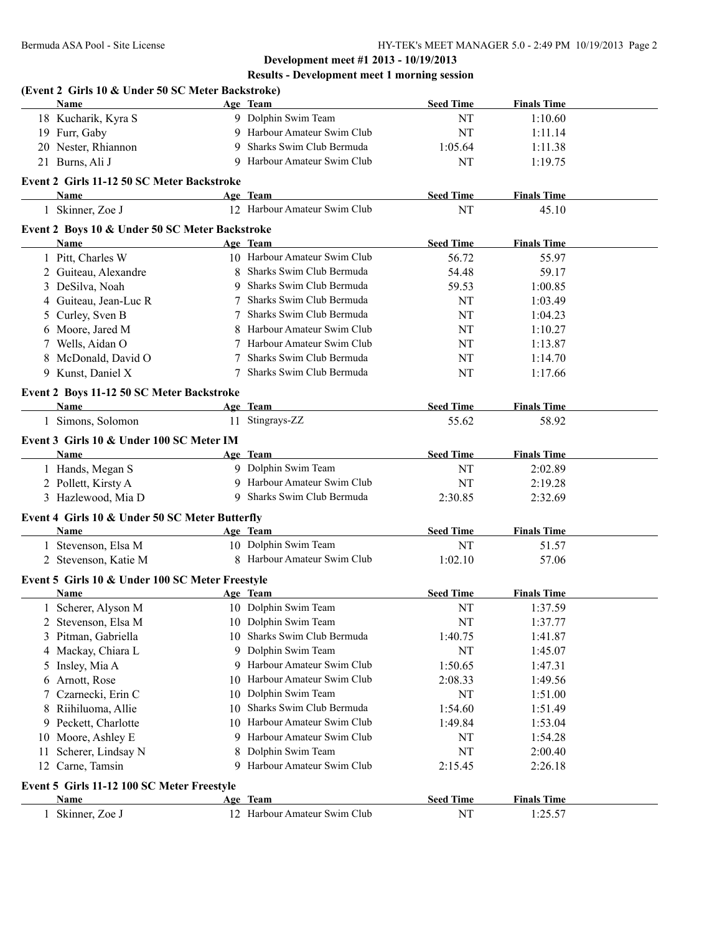# **Results - Development meet 1 morning session**

|    | (Event 2 Girls 10 & Under 50 SC Meter Backstroke)<br>Name |                | Age Team                     | <b>Seed Time</b> | <b>Finals Time</b> |  |
|----|-----------------------------------------------------------|----------------|------------------------------|------------------|--------------------|--|
|    | 18 Kucharik, Kyra S                                       |                | 9 Dolphin Swim Team          | NT               | 1:10.60            |  |
|    | 19 Furr, Gaby                                             |                | 9 Harbour Amateur Swim Club  | NT               | 1:11.14            |  |
|    | 20 Nester, Rhiannon                                       | 9              | Sharks Swim Club Bermuda     | 1:05.64          | 1:11.38            |  |
|    | 21 Burns, Ali J                                           | 9              | Harbour Amateur Swim Club    | NT               | 1:19.75            |  |
|    | Event 2 Girls 11-12 50 SC Meter Backstroke                |                |                              |                  |                    |  |
|    | <b>Name</b>                                               |                | Age Team                     | <b>Seed Time</b> | <b>Finals Time</b> |  |
|    | 1 Skinner, Zoe J                                          |                | 12 Harbour Amateur Swim Club | NT               | 45.10              |  |
|    |                                                           |                |                              |                  |                    |  |
|    | Event 2 Boys 10 & Under 50 SC Meter Backstroke<br>Name    |                | Age Team                     | <b>Seed Time</b> | <b>Finals Time</b> |  |
|    | 1 Pitt, Charles W                                         |                | 10 Harbour Amateur Swim Club | 56.72            | 55.97              |  |
|    | 2 Guiteau, Alexandre                                      | $8\phantom{.}$ | Sharks Swim Club Bermuda     | 54.48            | 59.17              |  |
|    | 3 DeSilva, Noah                                           | 9              | Sharks Swim Club Bermuda     | 59.53            | 1:00.85            |  |
| 4  | Guiteau, Jean-Luc R                                       |                | Sharks Swim Club Bermuda     | NT               | 1:03.49            |  |
|    |                                                           |                | Sharks Swim Club Bermuda     | NT               | 1:04.23            |  |
| 5  | Curley, Sven B<br>Moore, Jared M                          | 8              | Harbour Amateur Swim Club    | NT               | 1:10.27            |  |
| 6  | Wells, Aidan O                                            | 7              | Harbour Amateur Swim Club    |                  |                    |  |
| 7  | McDonald, David O                                         | 7              | Sharks Swim Club Bermuda     | NT               | 1:13.87            |  |
| 8  | 9 Kunst, Daniel X                                         | 7              | Sharks Swim Club Bermuda     | NT               | 1:14.70            |  |
|    |                                                           |                |                              | NT               | 1:17.66            |  |
|    | Event 2 Boys 11-12 50 SC Meter Backstroke                 |                |                              |                  |                    |  |
|    | Name                                                      |                | Age Team                     | <b>Seed Time</b> | <b>Finals Time</b> |  |
|    | 1 Simons, Solomon                                         |                | 11 Stingrays-ZZ              | 55.62            | 58.92              |  |
|    | Event 3 Girls 10 & Under 100 SC Meter IM                  |                |                              |                  |                    |  |
|    | Name                                                      |                | Age Team                     | <b>Seed Time</b> | <b>Finals Time</b> |  |
|    | 1 Hands, Megan S                                          |                | 9 Dolphin Swim Team          | NT               | 2:02.89            |  |
|    | 2 Pollett, Kirsty A                                       | 9              | Harbour Amateur Swim Club    | NT               | 2:19.28            |  |
|    | 3 Hazlewood, Mia D                                        | 9              | Sharks Swim Club Bermuda     | 2:30.85          | 2:32.69            |  |
|    | Event 4 Girls 10 & Under 50 SC Meter Butterfly            |                |                              |                  |                    |  |
|    | <b>Name</b>                                               |                | Age Team                     | <b>Seed Time</b> | <b>Finals Time</b> |  |
|    | 1 Stevenson, Elsa M                                       |                | 10 Dolphin Swim Team         | NT               | 51.57              |  |
|    | 2 Stevenson, Katie M                                      |                | 8 Harbour Amateur Swim Club  | 1:02.10          | 57.06              |  |
|    |                                                           |                |                              |                  |                    |  |
|    | Event 5 Girls 10 & Under 100 SC Meter Freestyle<br>Name   |                | Age Team                     | <b>Seed Time</b> | <b>Finals Time</b> |  |
|    | 1 Scherer, Alyson M                                       |                | 10 Dolphin Swim Team         | NT               | 1:37.59            |  |
|    |                                                           |                | 10 Dolphin Swim Team         |                  |                    |  |
| 2  | Stevenson, Elsa M                                         | 10             | Sharks Swim Club Bermuda     | NT               | 1:37.77            |  |
| 3  | Pitman, Gabriella                                         | 9              | Dolphin Swim Team            | 1:40.75<br>NT    | 1:41.87            |  |
| 4  | Mackay, Chiara L                                          |                | Harbour Amateur Swim Club    |                  | 1:45.07            |  |
| 5  | Insley, Mia A                                             |                |                              | 1:50.65          | 1:47.31            |  |
| 6  | Arnott, Rose                                              | 10             | Harbour Amateur Swim Club    | 2:08.33          | 1:49.56            |  |
| 7  | Czarnecki, Erin C                                         | 10             | Dolphin Swim Team            | NT               | 1:51.00            |  |
| 8  | Riihiluoma, Allie                                         | 10             | Sharks Swim Club Bermuda     | 1:54.60          | 1:51.49            |  |
| 9. | Peckett, Charlotte                                        | 10             | Harbour Amateur Swim Club    | 1:49.84          | 1:53.04            |  |
| 10 | Moore, Ashley E                                           |                | Harbour Amateur Swim Club    | NT               | 1:54.28            |  |
| 11 | Scherer, Lindsay N                                        |                | Dolphin Swim Team            | NT               | 2:00.40            |  |
| 12 | Carne, Tamsin                                             | 9              | Harbour Amateur Swim Club    | 2:15.45          | 2:26.18            |  |
|    | Event 5 Girls 11-12 100 SC Meter Freestyle                |                |                              |                  |                    |  |
|    | Name                                                      |                | Age Team                     | <b>Seed Time</b> | <b>Finals Time</b> |  |
|    | 1 Skinner, Zoe J                                          |                | 12 Harbour Amateur Swim Club | NT               | 1:25.57            |  |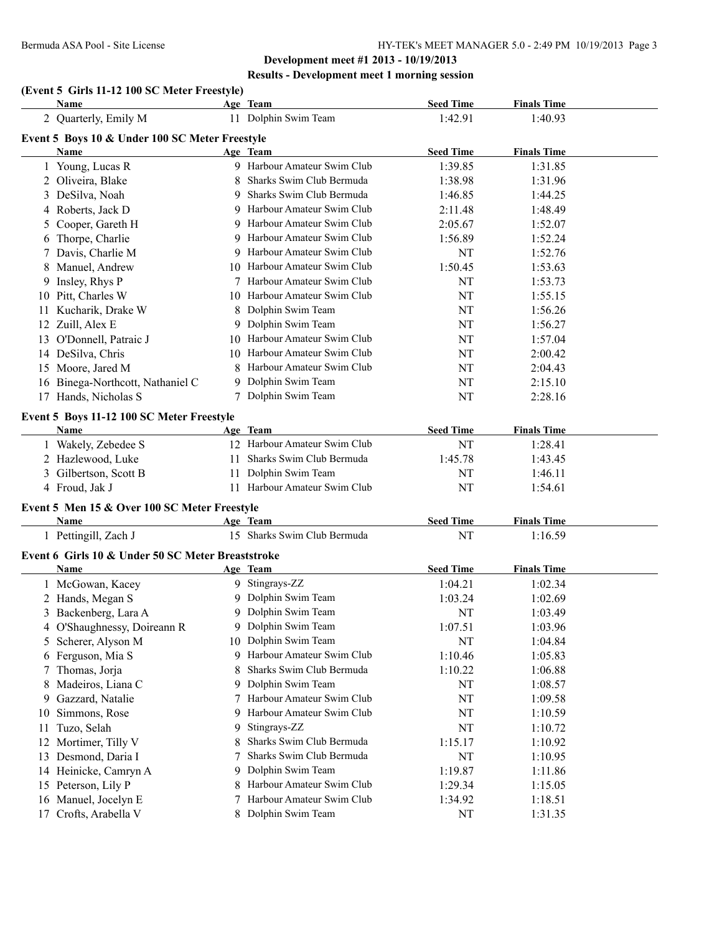# **Results - Development meet 1 morning session**

# **(Event 5 Girls 11-12 100 SC Meter Freestyle)**

|    | Name                                               |    | Age Team                                             | <b>Seed Time</b> | <b>Finals Time</b> |  |
|----|----------------------------------------------------|----|------------------------------------------------------|------------------|--------------------|--|
|    | 2 Quarterly, Emily M                               |    | 11 Dolphin Swim Team                                 | 1:42.91          | 1:40.93            |  |
|    | Event 5 Boys 10 & Under 100 SC Meter Freestyle     |    |                                                      |                  |                    |  |
|    | Name                                               |    | Age Team                                             | <b>Seed Time</b> | <b>Finals Time</b> |  |
|    | 1 Young, Lucas R                                   |    | 9 Harbour Amateur Swim Club                          | 1:39.85          | 1:31.85            |  |
|    | 2 Oliveira, Blake                                  |    | Sharks Swim Club Bermuda                             | 1:38.98          | 1:31.96            |  |
|    | 3 DeSilva, Noah                                    |    | 9 Sharks Swim Club Bermuda                           | 1:46.85          | 1:44.25            |  |
|    | 4 Roberts, Jack D                                  |    | 9 Harbour Amateur Swim Club                          | 2:11.48          | 1:48.49            |  |
| 5. | Cooper, Gareth H                                   |    | 9 Harbour Amateur Swim Club                          | 2:05.67          | 1:52.07            |  |
| 6  | Thorpe, Charlie                                    |    | 9 Harbour Amateur Swim Club                          | 1:56.89          | 1:52.24            |  |
| 7  | Davis, Charlie M                                   |    | 9 Harbour Amateur Swim Club                          | NT               | 1:52.76            |  |
| 8  | Manuel, Andrew                                     |    | 10 Harbour Amateur Swim Club                         | 1:50.45          | 1:53.63            |  |
| 9  | Insley, Rhys P                                     |    | 7 Harbour Amateur Swim Club                          | NT               | 1:53.73            |  |
|    | 10 Pitt, Charles W                                 |    | 10 Harbour Amateur Swim Club                         | NT               | 1:55.15            |  |
|    | 11 Kucharik, Drake W                               | 8  | Dolphin Swim Team                                    | NT               | 1:56.26            |  |
|    | 12 Zuill, Alex E                                   | 9  | Dolphin Swim Team                                    | NT               | 1:56.27            |  |
|    | 13 O'Donnell, Patraic J                            |    | 10 Harbour Amateur Swim Club                         | NT               | 1:57.04            |  |
|    | 14 DeSilva, Chris                                  |    | 10 Harbour Amateur Swim Club                         | NT               | 2:00.42            |  |
|    | 15 Moore, Jared M                                  | 8  | Harbour Amateur Swim Club                            | NT               | 2:04.43            |  |
|    | 16 Binega-Northcott, Nathaniel C                   |    | 9 Dolphin Swim Team                                  | NT               | 2:15.10            |  |
|    | 17 Hands, Nicholas S                               |    | 7 Dolphin Swim Team                                  | NT               | 2:28.16            |  |
|    |                                                    |    |                                                      |                  |                    |  |
|    | Event 5 Boys 11-12 100 SC Meter Freestyle          |    |                                                      |                  |                    |  |
|    | <b>Name</b>                                        |    | Age Team                                             | <b>Seed Time</b> | <b>Finals Time</b> |  |
|    | 1 Wakely, Zebedee S                                |    | 12 Harbour Amateur Swim Club                         | NT               | 1:28.41            |  |
|    | 2 Hazlewood, Luke                                  | 11 | Sharks Swim Club Bermuda                             | 1:45.78          | 1:43.45            |  |
|    | 3 Gilbertson, Scott B                              | 11 | Dolphin Swim Team                                    | NT               | 1:46.11            |  |
|    | 4 Froud, Jak J                                     |    | 11 Harbour Amateur Swim Club                         | NT               | 1:54.61            |  |
|    | Event 5 Men 15 & Over 100 SC Meter Freestyle       |    |                                                      |                  |                    |  |
|    | Name                                               |    | Age Team                                             | <b>Seed Time</b> | <b>Finals Time</b> |  |
|    | 1 Pettingill, Zach J                               |    | 15 Sharks Swim Club Bermuda                          | NT               | 1:16.59            |  |
|    | Event 6 Girls 10 & Under 50 SC Meter Breaststroke  |    |                                                      |                  |                    |  |
|    | Name                                               |    | Age Team                                             | <b>Seed Time</b> | <b>Finals Time</b> |  |
|    | 1 McGowan, Kacey                                   |    | 9 Stingrays-ZZ                                       | 1:04.21          | 1:02.34            |  |
|    | 2 Hands, Megan S                                   |    | 9 Dolphin Swim Team                                  | 1:03.24          | 1:02.69            |  |
|    | 3 Backenberg, Lara A                               |    | 9 Dolphin Swim Team                                  | NT               | 1:03.49            |  |
|    |                                                    |    | 9 Dolphin Swim Team                                  | 1:07.51          | 1:03.96            |  |
|    | 4 O'Shaughnessy, Doireann R<br>5 Scherer, Alyson M |    | 10 Dolphin Swim Team                                 | NT               | 1:04.84            |  |
|    | 6 Ferguson, Mia S                                  |    | 9 Harbour Amateur Swim Club                          | 1:10.46          | 1:05.83            |  |
| 7  | Thomas, Jorja                                      | 8  | Sharks Swim Club Bermuda                             | 1:10.22          | 1:06.88            |  |
|    | Madeiros, Liana C                                  | 9. | Dolphin Swim Team                                    | NT               | 1:08.57            |  |
| 8  | Gazzard, Natalie                                   | 7  | Harbour Amateur Swim Club                            | NT               | 1:09.58            |  |
| 9  |                                                    | 9  | Harbour Amateur Swim Club                            |                  |                    |  |
| 10 | Simmons, Rose                                      |    | Stingrays-ZZ                                         | NT               | 1:10.59            |  |
| 11 | Tuzo, Selah                                        | 9  |                                                      | NT               | 1:10.72            |  |
|    | 12 Mortimer, Tilly V                               | 8  | Sharks Swim Club Bermuda<br>Sharks Swim Club Bermuda | 1:15.17          | 1:10.92            |  |
|    | 13 Desmond, Daria I                                | 7  |                                                      | NT               | 1:10.95            |  |
|    | 14 Heinicke, Camryn A                              | 9  | Dolphin Swim Team                                    | 1:19.87          | 1:11.86            |  |
|    | 15 Peterson, Lily P                                |    | Harbour Amateur Swim Club                            | 1:29.34          | 1:15.05            |  |
|    | 16 Manuel, Jocelyn E                               |    | Harbour Amateur Swim Club                            | 1:34.92          | 1:18.51            |  |
|    | 17 Crofts, Arabella V                              |    | 8 Dolphin Swim Team                                  | NT               | 1:31.35            |  |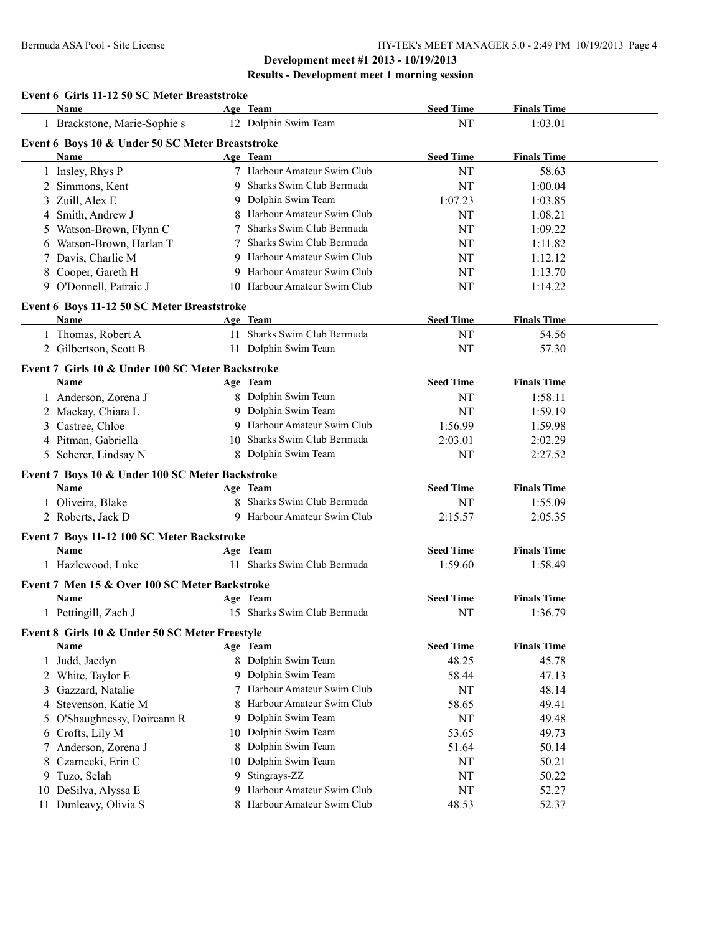### **Development meet #1 2013 - 10/19/2013 Results - Development meet 1 morning session**

|                | Event 6 Girls 11-12 50 SC Meter Breaststroke           |    |                                         |                  |                    |  |
|----------------|--------------------------------------------------------|----|-----------------------------------------|------------------|--------------------|--|
|                | <b>Name</b>                                            |    | Age Team                                | <b>Seed Time</b> | <b>Finals Time</b> |  |
|                | 1 Brackstone, Marie-Sophie s                           |    | 12 Dolphin Swim Team                    | NT               | 1:03.01            |  |
|                | Event 6 Boys 10 & Under 50 SC Meter Breaststroke       |    |                                         |                  |                    |  |
|                | Name                                                   |    | Age Team                                | <b>Seed Time</b> | <b>Finals Time</b> |  |
|                | 1 Insley, Rhys P                                       |    | 7 Harbour Amateur Swim Club             | NT               | 58.63              |  |
| $\overline{2}$ | Simmons, Kent                                          |    | Sharks Swim Club Bermuda                | NT               | 1:00.04            |  |
| 3              | Zuill, Alex E                                          | 9  | Dolphin Swim Team                       | 1:07.23          | 1:03.85            |  |
| 4              | Smith, Andrew J                                        |    | Harbour Amateur Swim Club               | NT               | 1:08.21            |  |
| 5              | Watson-Brown, Flynn C                                  |    | Sharks Swim Club Bermuda                | NT               | 1:09.22            |  |
| 6              | Watson-Brown, Harlan T                                 |    | Sharks Swim Club Bermuda                | NT               | 1:11.82            |  |
| 7              | Davis, Charlie M                                       |    | 9 Harbour Amateur Swim Club             | NT               | 1:12.12            |  |
| 8              | Cooper, Gareth H                                       | 9  | Harbour Amateur Swim Club               | NT               | 1:13.70            |  |
|                | 9 O'Donnell, Patraic J                                 |    | 10 Harbour Amateur Swim Club            | NT               | 1:14.22            |  |
|                | Event 6 Boys 11-12 50 SC Meter Breaststroke            |    |                                         |                  |                    |  |
|                | <b>Name</b>                                            |    | Age Team                                | <b>Seed Time</b> | <b>Finals Time</b> |  |
|                | 1 Thomas, Robert A                                     |    | 11 Sharks Swim Club Bermuda             | NT               | 54.56              |  |
|                | 2 Gilbertson, Scott B                                  |    | 11 Dolphin Swim Team                    | NT               | 57.30              |  |
|                | Event 7 Girls 10 & Under 100 SC Meter Backstroke       |    |                                         |                  |                    |  |
|                | Name                                                   |    | Age Team                                | <b>Seed Time</b> | <b>Finals Time</b> |  |
|                | 1 Anderson, Zorena J                                   |    | 8 Dolphin Swim Team                     | NT               | 1:58.11            |  |
| 2              | Mackay, Chiara L                                       |    | 9 Dolphin Swim Team                     | NT               | 1:59.19            |  |
| 3              | Castree, Chloe                                         | 9  | Harbour Amateur Swim Club               | 1:56.99          | 1:59.98            |  |
| 4              | Pitman, Gabriella                                      |    | 10 Sharks Swim Club Bermuda             | 2:03.01          | 2:02.29            |  |
|                | 5 Scherer, Lindsay N                                   |    | 8 Dolphin Swim Team                     | NT               | 2:27.52            |  |
|                | Event 7 Boys 10 & Under 100 SC Meter Backstroke        |    |                                         |                  |                    |  |
|                | <b>Name</b>                                            |    | Age Team                                | <b>Seed Time</b> | <b>Finals Time</b> |  |
|                | 1 Oliveira, Blake                                      |    | 8 Sharks Swim Club Bermuda              | NT               | 1:55.09            |  |
|                | 2 Roberts, Jack D                                      |    | 9 Harbour Amateur Swim Club             | 2:15.57          | 2:05.35            |  |
|                | Event 7 Boys 11-12 100 SC Meter Backstroke             |    |                                         |                  |                    |  |
|                | Name                                                   |    | Age Team                                | <b>Seed Time</b> | <b>Finals Time</b> |  |
|                | 1 Hazlewood, Luke                                      |    | 11 Sharks Swim Club Bermuda             | 1:59.60          | 1:58.49            |  |
|                |                                                        |    |                                         |                  |                    |  |
|                | Event 7 Men 15 & Over 100 SC Meter Backstroke          |    |                                         | <b>Seed Time</b> | <b>Finals Time</b> |  |
|                | Name<br>1 Pettingill, Zach J                           |    | Age Team<br>15 Sharks Swim Club Bermuda | NT               | 1:36.79            |  |
|                |                                                        |    |                                         |                  |                    |  |
|                | Event 8 Girls 10 & Under 50 SC Meter Freestyle<br>Name |    | Age Team                                | <b>Seed Time</b> | <b>Finals Time</b> |  |
|                | 1 Judd, Jaedyn                                         |    | 8 Dolphin Swim Team                     | 48.25            | 45.78              |  |
|                | 2 White, Taylor E                                      |    | 9 Dolphin Swim Team                     | 58.44            | 47.13              |  |
| 3              | Gazzard, Natalie                                       |    | 7 Harbour Amateur Swim Club             | NT               | 48.14              |  |
| 4              | Stevenson, Katie M                                     | 8  | Harbour Amateur Swim Club               | 58.65            | 49.41              |  |
|                | O'Shaughnessy, Doireann R                              |    | Dolphin Swim Team                       | NT               | 49.48              |  |
| 5              |                                                        | 10 | Dolphin Swim Team                       | 53.65            | 49.73              |  |
| 6              | Crofts, Lily M                                         |    | Dolphin Swim Team                       |                  |                    |  |
| 7              | Anderson, Zorena J                                     | 8  |                                         | 51.64            | 50.14              |  |
| 8              | Czarnecki, Erin C                                      | 10 | Dolphin Swim Team                       | NT               | 50.21              |  |
| 9              | Tuzo, Selah                                            | 9. | Stingrays-ZZ                            | NT               | 50.22              |  |
| 10             | DeSilva, Alyssa E                                      |    | Harbour Amateur Swim Club               | NT               | 52.27              |  |
|                | 11 Dunleavy, Olivia S                                  |    | 8 Harbour Amateur Swim Club             | 48.53            | 52.37              |  |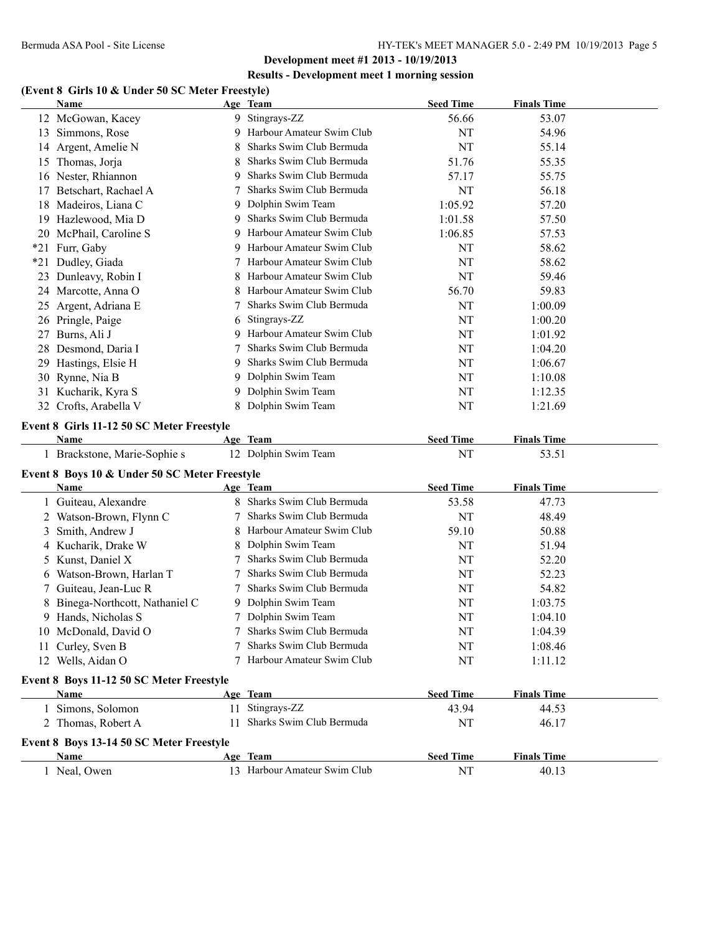#### **Results - Development meet 1 morning session**

# **(Event 8 Girls 10 & Under 50 SC Meter Freestyle)**

|       | <b>Name</b>                                                  |    | Age Team                                 | <b>Seed Time</b> | <b>Finals Time</b> |  |
|-------|--------------------------------------------------------------|----|------------------------------------------|------------------|--------------------|--|
|       | 12 McGowan, Kacey                                            |    | 9 Stingrays-ZZ                           | 56.66            | 53.07              |  |
|       | 13 Simmons, Rose                                             | 9  | Harbour Amateur Swim Club                | NT               | 54.96              |  |
|       | 14 Argent, Amelie N                                          | 8  | Sharks Swim Club Bermuda                 | NT               | 55.14              |  |
|       | 15 Thomas, Jorja                                             | 8  | Sharks Swim Club Bermuda                 | 51.76            | 55.35              |  |
|       | 16 Nester, Rhiannon                                          | 9  | Sharks Swim Club Bermuda                 | 57.17            | 55.75              |  |
| 17    | Betschart, Rachael A                                         | 7  | Sharks Swim Club Bermuda                 | NT               | 56.18              |  |
|       | 18 Madeiros, Liana C                                         | 9  | Dolphin Swim Team                        | 1:05.92          | 57.20              |  |
|       | 19 Hazlewood, Mia D                                          | 9  | Sharks Swim Club Bermuda                 | 1:01.58          | 57.50              |  |
|       | 20 McPhail, Caroline S                                       | 9  | Harbour Amateur Swim Club                | 1:06.85          | 57.53              |  |
|       | *21 Furr, Gaby                                               | 9  | Harbour Amateur Swim Club                | NT               | 58.62              |  |
| $*21$ | Dudley, Giada                                                |    | Harbour Amateur Swim Club                | NT               | 58.62              |  |
| 23    | Dunleavy, Robin I                                            |    | Harbour Amateur Swim Club                | <b>NT</b>        | 59.46              |  |
|       | 24 Marcotte, Anna O                                          |    | Harbour Amateur Swim Club                | 56.70            | 59.83              |  |
| 25    | Argent, Adriana E                                            | 7  | Sharks Swim Club Bermuda                 | <b>NT</b>        | 1:00.09            |  |
|       | 26 Pringle, Paige                                            | 6  | Stingrays-ZZ                             | NT               | 1:00.20            |  |
| 27    | Burns, Ali J                                                 | 9  | Harbour Amateur Swim Club                | NT               | 1:01.92            |  |
| 28    | Desmond, Daria I                                             |    | Sharks Swim Club Bermuda                 | NT               | 1:04.20            |  |
| 29    | Hastings, Elsie H                                            | 9  | Sharks Swim Club Bermuda                 | NT               | 1:06.67            |  |
|       | 30 Rynne, Nia B                                              | 9  | Dolphin Swim Team                        | NT               | 1:10.08            |  |
|       | 31 Kucharik, Kyra S                                          | 9. | Dolphin Swim Team                        | NT               | 1:12.35            |  |
|       | 32 Crofts, Arabella V                                        |    | Dolphin Swim Team                        | NT               | 1:21.69            |  |
|       | Event 8 Girls 11-12 50 SC Meter Freestyle                    |    |                                          |                  |                    |  |
|       | Name                                                         |    | Age Team                                 | <b>Seed Time</b> | <b>Finals Time</b> |  |
|       | 1 Brackstone, Marie-Sophie s                                 |    | 12 Dolphin Swim Team                     | NT               | 53.51              |  |
|       |                                                              |    |                                          |                  |                    |  |
|       | Event 8 Boys 10 & Under 50 SC Meter Freestyle<br><b>Name</b> |    | Age Team                                 | <b>Seed Time</b> | <b>Finals Time</b> |  |
|       | 1 Guiteau, Alexandre                                         |    | 8 Sharks Swim Club Bermuda               | 53.58            | 47.73              |  |
|       | 2 Watson-Brown, Flynn C                                      |    | Sharks Swim Club Bermuda                 | <b>NT</b>        | 48.49              |  |
| 3     | Smith, Andrew J                                              |    | Harbour Amateur Swim Club                | 59.10            | 50.88              |  |
|       | 4 Kucharik, Drake W                                          |    | Dolphin Swim Team                        | NT               | 51.94              |  |
| 5     | Kunst, Daniel X                                              |    | Sharks Swim Club Bermuda                 | NT               | 52.20              |  |
| 6     | Watson-Brown, Harlan T                                       |    | Sharks Swim Club Bermuda                 | NT               | 52.23              |  |
| 7     | Guiteau, Jean-Luc R                                          |    | Sharks Swim Club Bermuda                 | NT               | 54.82              |  |
|       | Binega-Northcott, Nathaniel C                                |    | 9 Dolphin Swim Team                      | NT               | 1:03.75            |  |
|       | 9 Hands, Nicholas S                                          |    | 7 Dolphin Swim Team                      | NT               | 1:04.10            |  |
|       | 10 McDonald, David O                                         |    | Sharks Swim Club Bermuda                 | NT               | 1:04.39            |  |
|       | 11 Curley, Sven B                                            |    | Sharks Swim Club Bermuda                 | NT               | 1:08.46            |  |
|       | 12 Wells, Aidan O                                            |    | 7 Harbour Amateur Swim Club              | NT               | 1:11.12            |  |
|       |                                                              |    |                                          |                  |                    |  |
|       | Event 8 Boys 11-12 50 SC Meter Freestyle                     |    |                                          |                  |                    |  |
|       | Name                                                         |    | Age Team                                 | <b>Seed Time</b> | <b>Finals Time</b> |  |
|       | 1 Simons, Solomon                                            | 11 | Stingrays-ZZ<br>Sharks Swim Club Bermuda | 43.94            | 44.53              |  |
|       | 2 Thomas, Robert A                                           | 11 |                                          | NT               | 46.17              |  |
|       | Event 8 Boys 13-14 50 SC Meter Freestyle                     |    |                                          |                  |                    |  |
|       | Name                                                         |    | Age Team                                 | <b>Seed Time</b> | <b>Finals Time</b> |  |
|       | 1 Neal, Owen                                                 |    | 13 Harbour Amateur Swim Club             | NT               | 40.13              |  |